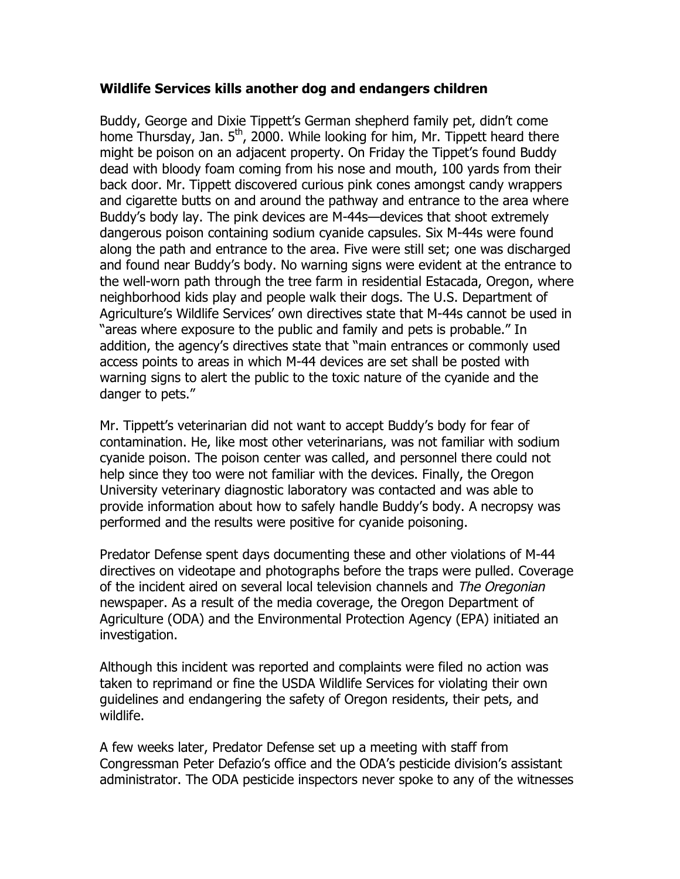## **Wildlife Services kills another dog and endangers children**

Buddy, George and Dixie Tippett's German shepherd family pet, didn't come home Thursday, Jan. 5<sup>th</sup>, 2000. While looking for him, Mr. Tippett heard there might be poison on an adjacent property. On Friday the Tippet's found Buddy dead with bloody foam coming from his nose and mouth, 100 yards from their back door. Mr. Tippett discovered curious pink cones amongst candy wrappers and cigarette butts on and around the pathway and entrance to the area where Buddy's body lay. The pink devices are M-44s—devices that shoot extremely dangerous poison containing sodium cyanide capsules. Six M-44s were found along the path and entrance to the area. Five were still set; one was discharged and found near Buddy's body. No warning signs were evident at the entrance to the well-worn path through the tree farm in residential Estacada, Oregon, where neighborhood kids play and people walk their dogs. The U.S. Department of Agriculture's Wildlife Services' own directives state that M-44s cannot be used in "areas where exposure to the public and family and pets is probable." In addition, the agency's directives state that "main entrances or commonly used access points to areas in which M-44 devices are set shall be posted with warning signs to alert the public to the toxic nature of the cyanide and the danger to pets."

Mr. Tippett's veterinarian did not want to accept Buddy's body for fear of contamination. He, like most other veterinarians, was not familiar with sodium cyanide poison. The poison center was called, and personnel there could not help since they too were not familiar with the devices. Finally, the Oregon University veterinary diagnostic laboratory was contacted and was able to provide information about how to safely handle Buddy's body. A necropsy was performed and the results were positive for cyanide poisoning.

Predator Defense spent days documenting these and other violations of M-44 directives on videotape and photographs before the traps were pulled. Coverage of the incident aired on several local television channels and The Oregonian newspaper. As a result of the media coverage, the Oregon Department of Agriculture (ODA) and the Environmental Protection Agency (EPA) initiated an investigation.

Although this incident was reported and complaints were filed no action was taken to reprimand or fine the USDA Wildlife Services for violating their own guidelines and endangering the safety of Oregon residents, their pets, and wildlife.

A few weeks later, Predator Defense set up a meeting with staff from Congressman Peter Defazio's office and the ODA's pesticide division's assistant administrator. The ODA pesticide inspectors never spoke to any of the witnesses